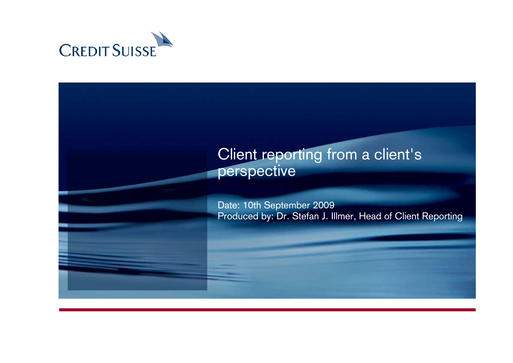

# Client reporting from a client's perspective

Date: 10th September 2009 Produced by: Dr. Stefan J. Illmer, Head of Client Reporting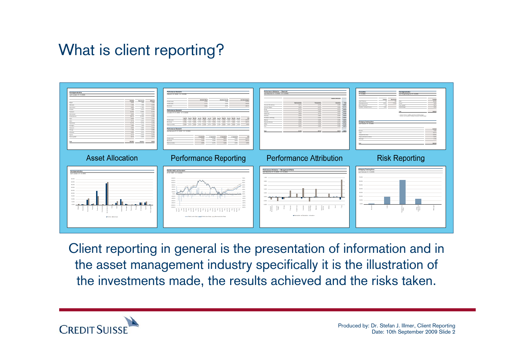# What is client reporting?



Client reporting in general is the presentation of information and in the asset management industry specifically it is the illustration of the investments made, the results achieved and the risks taken.

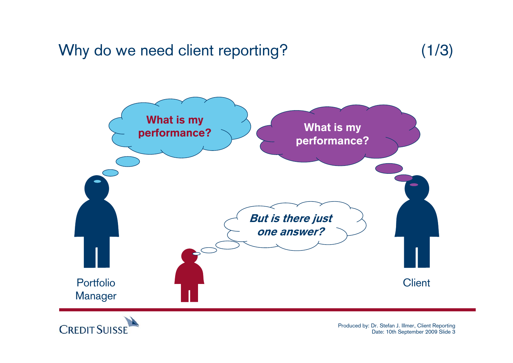## Why do we need client reporting? (1/3)





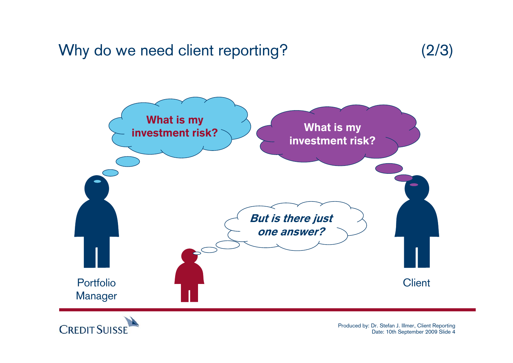## Why do we need client reporting? (2/3)





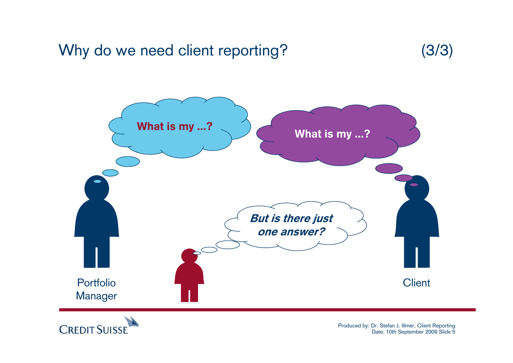## Why do we need client reporting? (3/3)





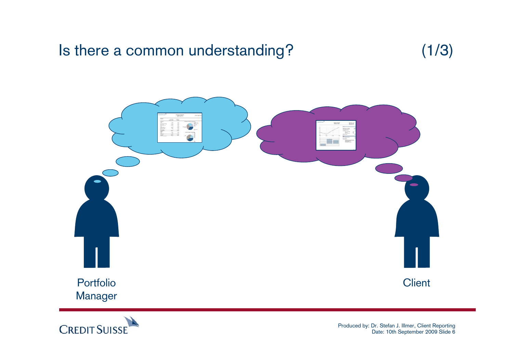## Is there a common understanding? (1/3)





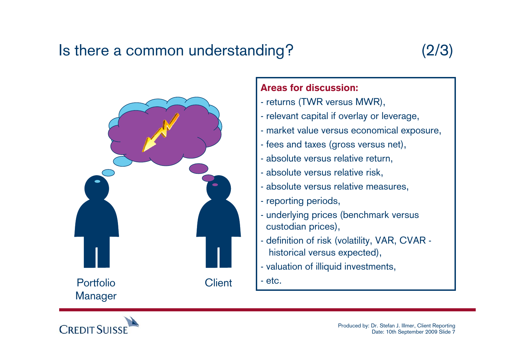## Is there a common understanding? (2/3)





#### Areas for discussion:

- returns (TWR versus MWR),
- relevant capital if overlay or leverage,
- market value versus economical exposure,
- fees and taxes (gross versus net),
- absolute versus relative return,
- absolute versus relative risk,
- absolute versus relative measures,
- reporting periods,
- underlying prices (benchmark versus custodian prices),
- definition of risk (volatility, VAR, CVAR historical versus expected),
- valuation of illiquid investments,

- etc.

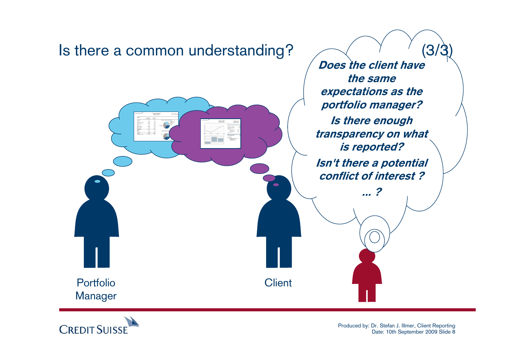

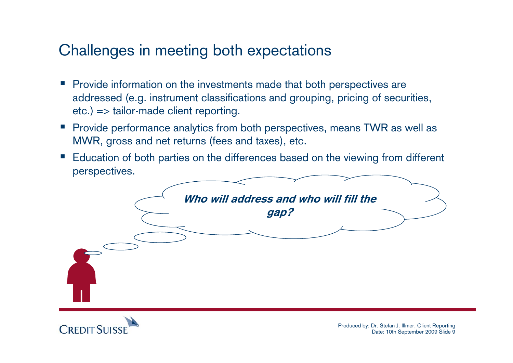## Challenges in meeting both expectations

- Provide information on the investments made that both perspectives are addressed (e.g. instrument classifications and grouping, pricing of securities, etc.) => tailor-made client reporting.
- Provide performance analytics from both perspectives, means TWR as well as MWR, gross and net returns (fees and taxes), etc.
- e<br>Sa Education of both parties on the differences based on the viewing from different perspectives.



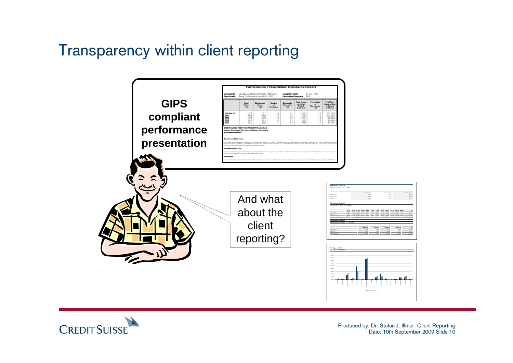## Transparency within client reporting



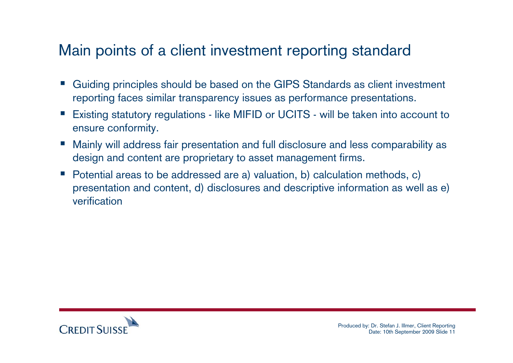## Main points of a client investment reporting standard

- Guiding principles should be based on the GIPS Standards as client investment reporting faces similar transparency issues as performance presentations.
- e<br>S Existing statutory regulations - like MIFID or UCITS - will be taken into account to ensure conformity.
- e<br>S Mainly will address fair presentation and full disclosure and less comparability as design and content are proprietary to asset management firms.
- $\mathcal{L}_{\mathcal{A}}$  Potential areas to be addressed are a) valuation, b) calculation methods, c) presentation and content, d) disclosures and descriptive information as well as e) verification

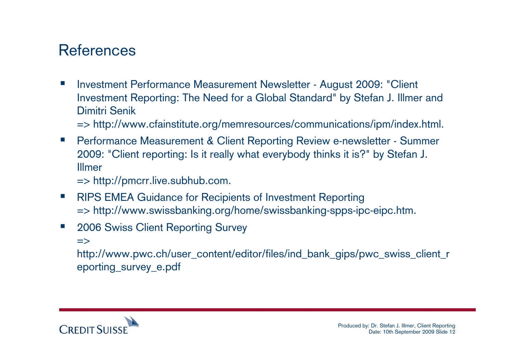## References

 $\overline{\phantom{a}}$  Investment Performance Measurement Newsletter - August 2009: "Client Investment Reporting: The Need for a Global Standard" by Stefan J. Illmer and Dimitri Senik

=> http://www.cfainstitute.org/memresources/communications/ipm/index.html.

- $\mathcal{L}_{\mathcal{A}}$  Performance Measurement & Client Reporting Review e-newsletter - Summer 2009: "Client reporting: Is it really what everybody thinks it is?" by Stefan J. Illmer
	- => http://pmcrr.live.subhub.com.
- $\mathcal{L}_{\mathcal{A}}$  RIPS EMEA Guidance for Recipients of Investment Reporting => http://www.swissbanking.org/home/swissbanking-spps-ipc-eipc.htm.
- $\mathcal{L}_{\mathcal{A}}$  2006 Swiss Client Reporting Survey
	- $\Rightarrow$

http://www.pwc.ch/user\_content/editor/files/ind\_bank\_gips/pwc\_swiss\_client\_r eporting\_survey\_e.pdf